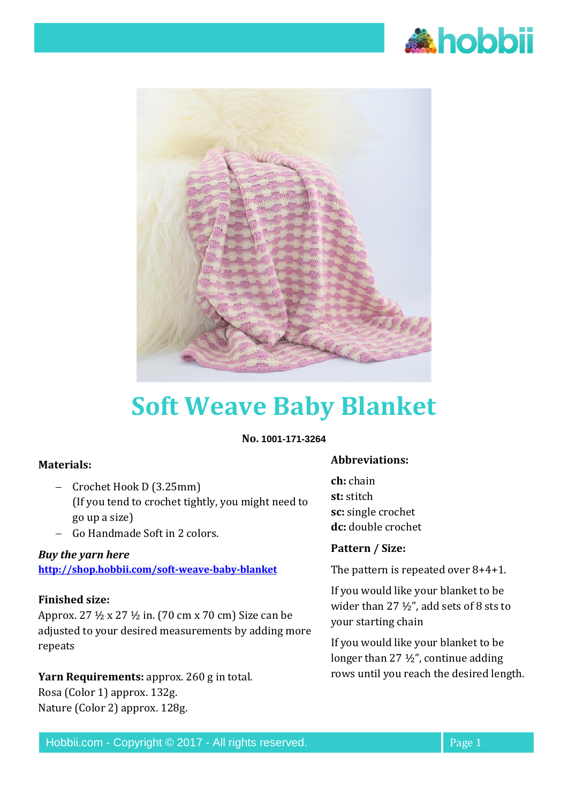



# **Soft Weave Baby Blanket**

#### **No. 1001-171-3264**

## **Materials:**

- − Crochet Hook D (3.25mm) (If you tend to crochet tightly, you might need to go up a size)
- − Go Handmade Soft in 2 colors.

# *Buy the yarn here*

**<http://shop.hobbii.com/soft-weave-baby-blanket>**

#### **Finished size:**

Approx. 27 ½ x 27 ½ in. (70 cm x 70 cm) Size can be adjusted to your desired measurements by adding more repeats

**Yarn Requirements:** approx. 260 g in total. Rosa (Color 1) approx. 132g. Nature (Color 2) approx. 128g.

#### **Abbreviations:**

**ch:** chain **st:** stitch **sc:** single crochet **dc:** double crochet

#### **Pattern / Size:**

The pattern is repeated over 8+4+1.

If you would like your blanket to be wider than 27 ½", add sets of 8 sts to your starting chain

If you would like your blanket to be longer than 27 ½", continue adding rows until you reach the desired length.

Hobbii.com - Copyright © 2017 - All rights reserved. Page 1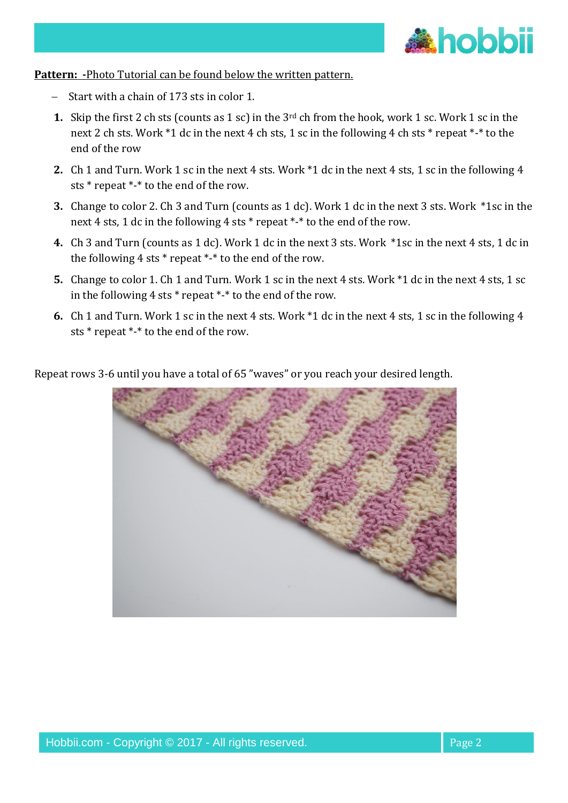

**Pattern: -**Photo Tutorial can be found below the written pattern.

- Start with a chain of 173 sts in color 1.
- **1.** Skip the first 2 ch sts (counts as 1 sc) in the 3<sup>rd</sup> ch from the hook, work 1 sc. Work 1 sc in the next 2 ch sts. Work \*1 dc in the next 4 ch sts, 1 sc in the following 4 ch sts \* repeat \*-\* to the end of the row
- **2.** Ch 1 and Turn. Work 1 sc in the next 4 sts. Work \*1 dc in the next 4 sts, 1 sc in the following 4 sts \* repeat \*-\* to the end of the row.
- **3.** Change to color 2. Ch 3 and Turn (counts as 1 dc). Work 1 dc in the next 3 sts. Work \*1sc in the next 4 sts, 1 dc in the following 4 sts \* repeat \*-\* to the end of the row.
- **4.** Ch 3 and Turn (counts as 1 dc). Work 1 dc in the next 3 sts. Work \*1sc in the next 4 sts, 1 dc in the following 4 sts \* repeat \*-\* to the end of the row.
- **5.** Change to color 1. Ch 1 and Turn. Work 1 sc in the next 4 sts. Work \*1 dc in the next 4 sts, 1 sc in the following 4 sts \* repeat \*-\* to the end of the row.
- **6.** Ch 1 and Turn. Work 1 sc in the next 4 sts. Work \*1 dc in the next 4 sts, 1 sc in the following 4 sts \* repeat \*-\* to the end of the row.

Repeat rows 3-6 until you have a total of 65 "waves" or you reach your desired length.

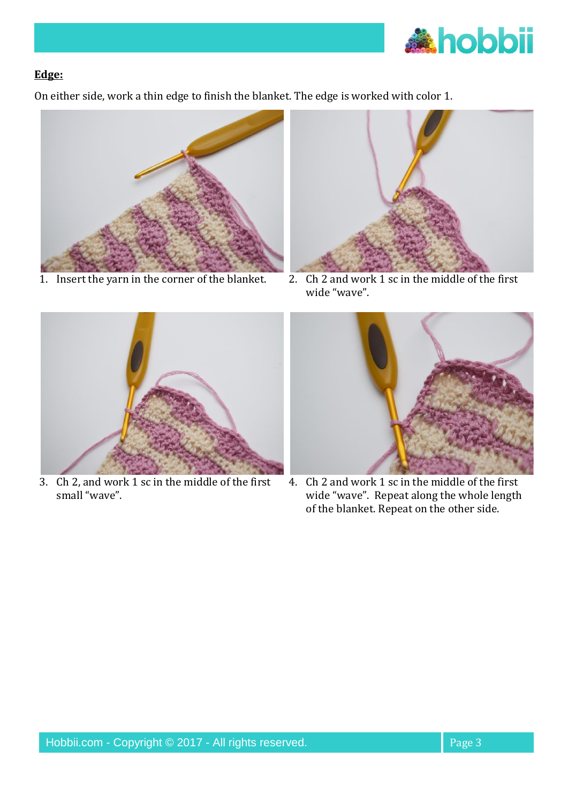

#### **Edge:**

On either side, work a thin edge to finish the blanket. The edge is worked with color 1.





1. Insert the yarn in the corner of the blanket. 2. Ch 2 and work 1 sc in the middle of the first wide "wave".



3. Ch 2, and work 1 sc in the middle of the first small "wave".



4. Ch 2 and work 1 sc in the middle of the first wide "wave". Repeat along the whole length of the blanket. Repeat on the other side.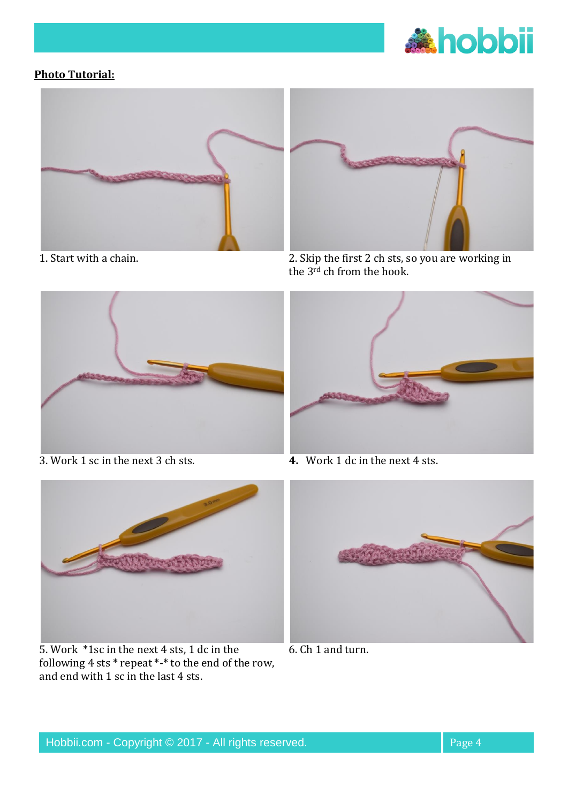

### **Photo Tutorial:**





1. Start with a chain. 2. Skip the first 2 ch sts, so you are working in the 3rd ch from the hook.



3. Work 1 sc in the next 3 ch sts. **4.** Work 1 dc in the next 4 sts.





5. Work \*1sc in the next 4 sts, 1 dc in the following 4 sts \* repeat \*-\* to the end of the row, and end with 1 sc in the last 4 sts.



6. Ch 1 and turn.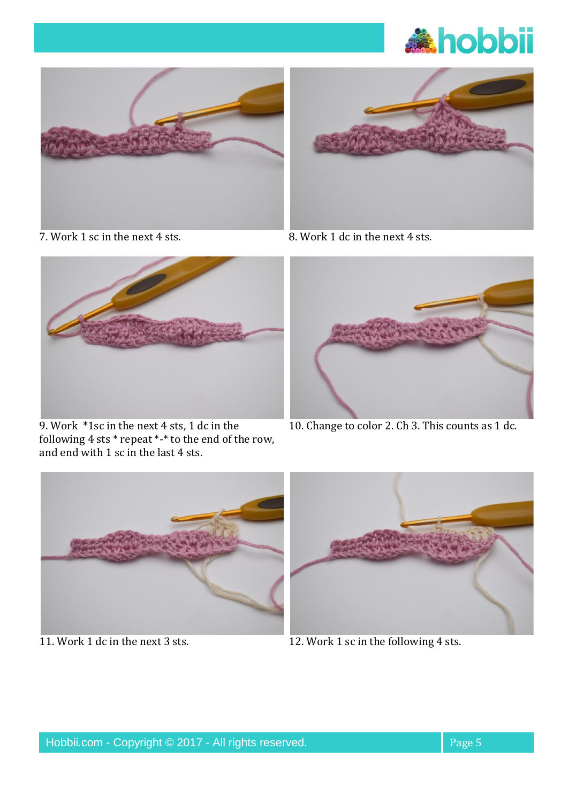





9. Work \*1sc in the next 4 sts, 1 dc in the following 4 sts \* repeat \*-\* to the end of the row, and end with 1 sc in the last 4 sts.



7. Work 1 sc in the next 4 sts. 8. Work 1 dc in the next 4 sts.



10. Change to color 2. Ch 3. This counts as 1 dc.





11. Work 1 dc in the next 3 sts. 12. Work 1 sc in the following 4 sts.